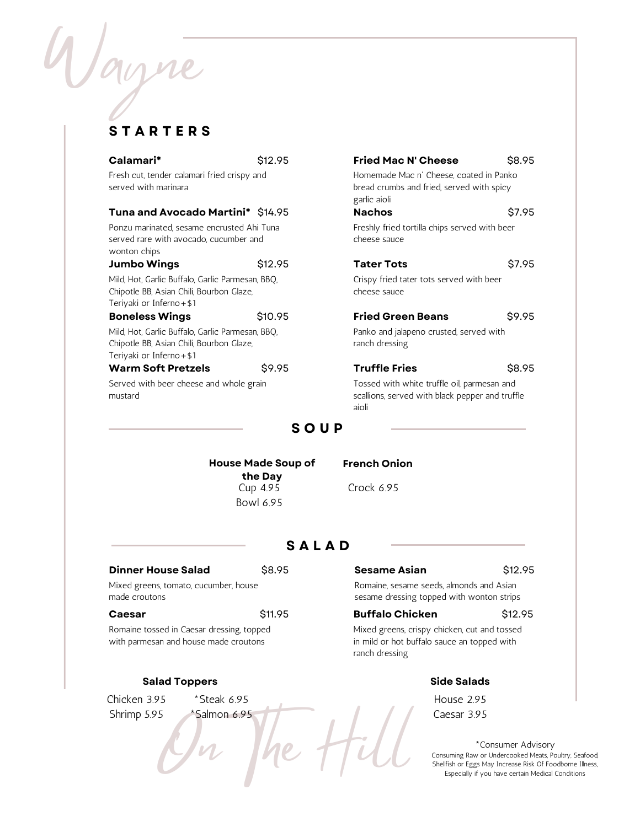# **S T A R T E R S**

Wayne

| Calamari*                                                                                                                 | \$12.95 | <b>Fried Mac N' Cheese</b>                                                                              | \$8.95 |
|---------------------------------------------------------------------------------------------------------------------------|---------|---------------------------------------------------------------------------------------------------------|--------|
| Fresh cut, tender calamari fried crispy and<br>served with marinara                                                       |         | Homemade Mac n' Cheese, coated in Panko<br>bread crumbs and fried, served with spicy<br>garlic aioli    |        |
| <b>Tuna and Avocado Martini*</b> \$14.95                                                                                  |         | <b>Nachos</b>                                                                                           | S7.95  |
| Ponzu marinated, sesame encrusted Ahi Tuna<br>served rare with avocado, cucumber and<br>wonton chips                      |         | Freshly fried tortilla chips served with beer<br>cheese sauce                                           |        |
| <b>Jumbo Wings</b>                                                                                                        | \$12.95 | <b>Tater Tots</b>                                                                                       | \$7.95 |
| Mild, Hot, Garlic Buffalo, Garlic Parmesan, BBQ,<br>Chipotle BB, Asian Chili, Bourbon Glaze,<br>Teriyaki or Inferno + \$1 |         | Crispy fried tater tots served with beer<br>cheese sauce                                                |        |
| <b>Boneless Wings</b>                                                                                                     | \$10.95 | <b>Fried Green Beans</b>                                                                                | \$9.95 |
| Mild, Hot, Garlic Buffalo, Garlic Parmesan, BBQ,<br>Chipotle BB, Asian Chili, Bourbon Glaze,<br>Teriyaki or Inferno + \$1 |         | Panko and jalapeno crusted, served with<br>ranch dressing                                               |        |
| <b>Warm Soft Pretzels</b>                                                                                                 | \$9.95  | <b>Truffle Fries</b>                                                                                    | \$8.95 |
| Served with beer cheese and whole grain<br>mustard                                                                        |         | Tossed with white truffle oil, parmesan and<br>scallions, served with black pepper and truffle<br>aioli |        |
|                                                                                                                           | C O II  |                                                                                                         |        |

## **S O U P**

**House Made Soup of the Day** Cup 4.95 Bowl 6.95

#### **French Onion**

Crock 6.95

## **S A L A D**

| <b>Dinner House Salad</b>             | \$8.95 |  |  |
|---------------------------------------|--------|--|--|
| Mixed greens, tomato, cucumber, house |        |  |  |
| made croutons                         |        |  |  |

#### **Caesar** \$11.95

Romaine tossed in Caesar dressing, topped with parmesan and house made croutons

#### **Salad Toppers**

Chicken 3.95 Shrimp 5.95

\*Steak 6.95 \*Salmon 6.95

 $\sqrt{n}$ 

#### **Sesame Asian** \$12.95

Romaine, sesame seeds, almonds and Asian sesame dressing topped with wonton strips

#### **Buffalo Chicken** \$12.95

Mixed greens, crispy chicken, cut and tossed in mild or hot buffalo sauce an topped with ranch dressing

#### **Side Salads**

House 2.95 Caesar 3.95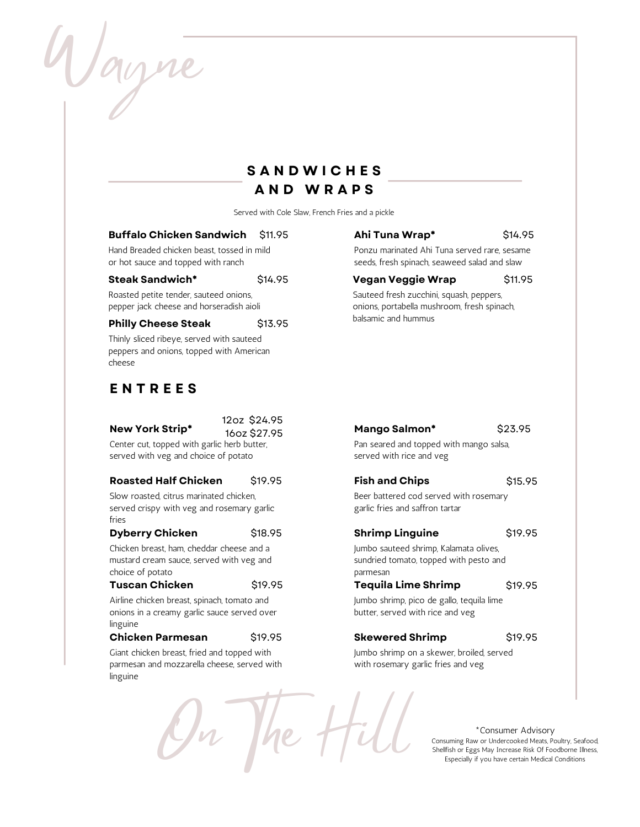Wayne

# **S A N D W I C H E S A N D W R A P S**

Served with Cole Slaw, French Fries and a pickle

#### **Buffalo Chicken Sandwich** \$11.95

Hand Breaded chicken beast, tossed in mild or hot sauce and topped with ranch

#### **Steak Sandwich\*** \$14.95

Roasted petite tender, sauteed onions, pepper jack cheese and horseradish aioli

#### **Philly Cheese Steak** \$13.95

Thinly sliced ribeye, served with sauteed peppers and onions, topped with American cheese

# **E N T R E E S**

12oz \$24.95 16oz \$27.95

On The Hill

Center cut, topped with garlic herb butter, served with veg and choice of potato

#### **Roasted Half Chicken Fish and Chips** \$19.95

Slow roasted, citrus marinated chicken, served crispy with veg and rosemary garlic fries

#### **Dyberry Chicken**  $\frac{1}{2}$ 18.95 **Shrimp Linguine** \$18.95

Chicken breast, ham, cheddar cheese and a mustard cream sauce, served with veg and choice of potato

#### **Tuscan Chicken Tequila Lime Shrimp** \$19.95

Airline chicken breast, spinach, tomato and onions in a creamy garlic sauce served over linguine

#### **Chicken Parmesan** \$19.95

Giant chicken breast, fried and topped with parmesan and mozzarella cheese, served with linguine

#### **Ahi Tuna Wrap\*** \$14.95

Ponzu marinated Ahi Tuna served rare, sesame seeds, fresh spinach, seaweed salad and slaw

#### **Vegan Veggie Wrap** \$11.95

Sauteed fresh zucchini, squash, peppers, onions, portabella mushroom, fresh spinach, balsamic and hummus

#### **New York Strip\* Mango Salmon\*** \$23.95

Pan seared and topped with mango salsa, served with rice and veg

#### \$15.95

Beer battered cod served with rosemary garlic fries and saffron tartar

Jumbo sauteed shrimp, Kalamata olives, sundried tomato, topped with pesto and parmesan

#### \$19.95

\$19.95

Jumbo shrimp, pico de gallo, tequila lime butter, served with rice and veg

#### **Skewered Shrimp**

\$19.95

Jumbo shrimp on a skewer, broiled, served with rosemary garlic fries and veg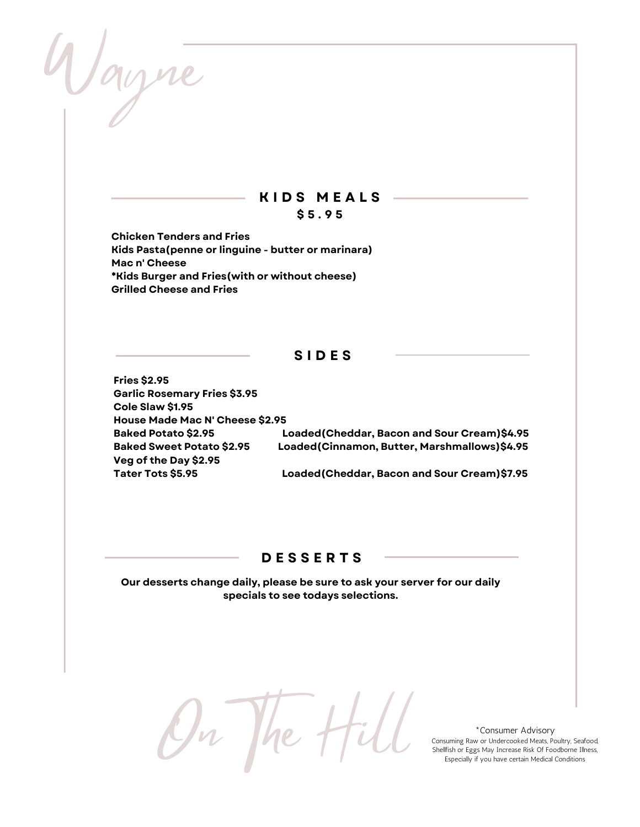Wayne

## **K I D S M E A L S \$ 5 . 9 5**

**Chicken Tenders and Fries Kids Pasta(penne or linguine - butter or marinara) Mac n' Cheese \*Kids Burger and Fries(with or without cheese) Grilled Cheese and Fries**

## **S I D E S**

**Fries \$2.95 Garlic Rosemary Fries \$3.95 Cole Slaw \$1.95 House Made Mac N' Cheese \$2.95 Veg of the Day \$2.95**

**Baked Potato \$2.95 Loaded(Cheddar, Bacon and Sour Cream)\$4.95 Baked Sweet Potato \$2.95 Loaded(Cinnamon, Butter, Marshmallows)\$4.95**

**Tater Tots \$5.95 Loaded(Cheddar, Bacon and Sour Cream)\$7.95**

#### **D E S S E R T S**

**Our desserts change daily, please be sure to ask your server for our daily specials to see todays selections.**

On The Hill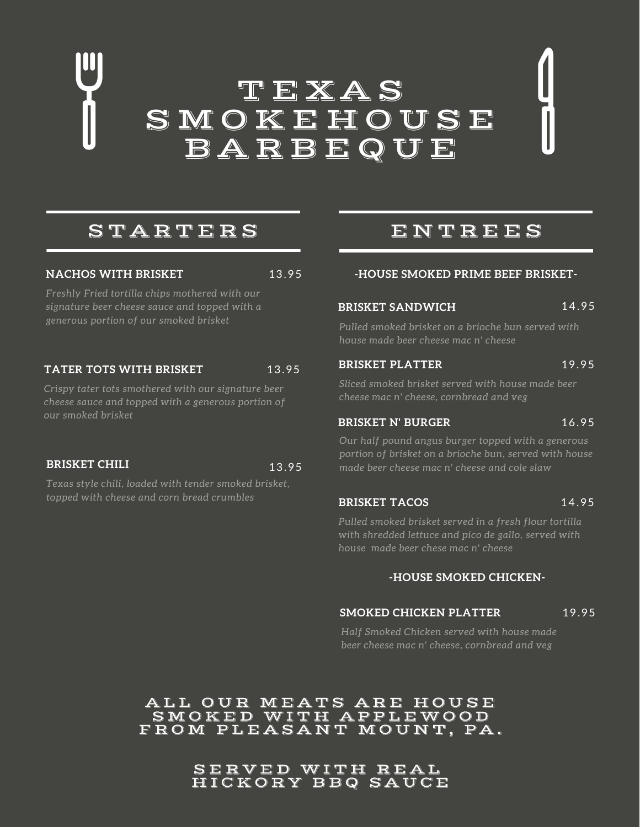# T E X A S **SMOKEHOUSE** B A R B E Q U E

# S TAR T E R S

#### **NACHOS WITH BRISKET** 13.95

*Freshly Fried tortilla chips mothered with our signature beer cheese sauce and topped with a generous portion of our smoked brisket*

## **TATER TOTS WITH BRISKET** 13.95

*Crispy tater tots smothered with our signature beer cheese sauce and topped with a generous portion of our smoked brisket*

#### **BRISKET CHILI** 13.95

*Texas style chili, loaded with tender smoked brisket, topped with cheese and corn bread crumbles*

# ENT R E E S

#### **-HOUSE SMOKED PRIME BEEF BRISKET-**

## **BRISKET SANDWICH** 14.95

*Pulled smoked brisket on a brioche bun served with house made beer cheese mac n' cheese*

#### **BRISKET PLATTER** 19.95

*Sliced smoked brisket served with house made beer cheese mac n' cheese, cornbread and veg*

#### **BRISKET N' BURGER** 16.95

*Our half pound angus burger topped with a generous portion of brisket on a brioche bun, served with house made beer cheese mac n' cheese and cole slaw*

#### **BRISKET TACOS** 14.95

*Pulled smoked brisket served in a fresh flour tortilla with shredded lettuce and pico de gallo, served with house made beer chese mac n' cheese*

#### **-HOUSE SMOKED CHICKEN-**

#### **SMOKED CHICKEN PLATTER** 19.95

*Half Smoked Chicken served with house made beer cheese mac n' cheese, cornbread and veg*

## ALL OUR MEATS ARE HOUSE SMOKED WITH APPLEWOOD FROM PLEASANT MOUNT, PA.

SERVED WITH REAL HI C K O R Y B B Q S A U C E